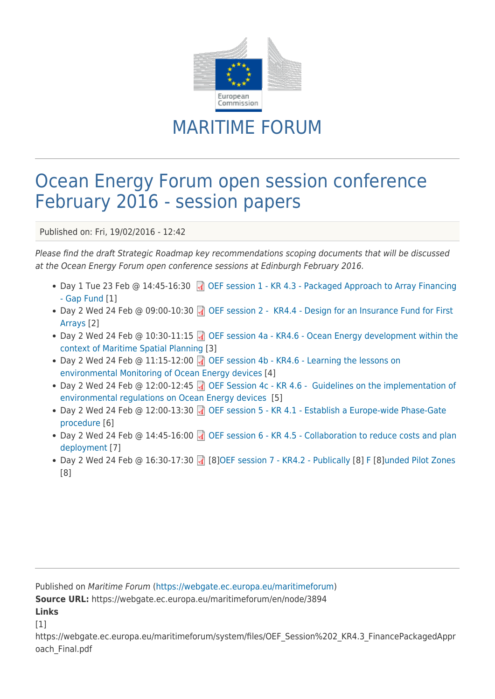

## MARITIME FORUM

## Ocean Energy Forum open session conference February 2016 - session papers

Published on: Fri, 19/02/2016 - 12:42

Please find the draft Strategic Roadmap key recommendations scoping documents that will be discussed at the Ocean Energy Forum open conference sessions at Edinburgh February 2016.

- Day 1 Tue 23 Feb @ 14:45-16:30 **OF Session 1 KR 4.3 Packaged Approach to Array Financing** [- Gap Fund](https://webgate.ec.europa.eu/maritimeforum/system/files/OEF_Session%202_KR4.3_FinancePackagedApproach_Final.pdf) [1]
- Day 2 Wed 24 Feb @ 09:00-10:30 @ [OEF session 2 KR4.4 Design for an Insurance Fund for First](https://webgate.ec.europa.eu/maritimeforum/system/files/OEF%20Session%201_KR4.4_InsuranceFund_Edinburgh_Final.pdf) [Arrays](https://webgate.ec.europa.eu/maritimeforum/system/files/OEF%20Session%201_KR4.4_InsuranceFund_Edinburgh_Final.pdf) [2]
- Day 2 Wed 24 Feb @ 10:30-11:15 1 [OEF session 4a KR4.6 Ocean Energy development within the](https://webgate.ec.europa.eu/maritimeforum/system/files/OEF%20Session%204a_ScopingDoc_KR4%206_EC_Planning_Edinburgh.pdf) [context of Maritime Spatial Planning](https://webgate.ec.europa.eu/maritimeforum/system/files/OEF%20Session%204a_ScopingDoc_KR4%206_EC_Planning_Edinburgh.pdf) [3]
- Day 2 Wed 24 Feb @ 11:15-12:00  $\Box$  [OEF session 4b KR4.6 Learning the lessons on](https://webgate.ec.europa.eu/maritimeforum/system/files/OEF%20Session%204b_ScopingDoc_KR4%206_EC_Monitoring_Edinburgh.pdf) [environmental Monitoring of Ocean Energy devices](https://webgate.ec.europa.eu/maritimeforum/system/files/OEF%20Session%204b_ScopingDoc_KR4%206_EC_Monitoring_Edinburgh.pdf) [4]
- Day 2 Wed 24 Feb @ 12:00-12:45 (1) [OEF Session 4c KR 4.6 Guidelines on the implementation of](https://webgate.ec.europa.eu/maritimeforum/system/files/OEF%20Session%204c_ScopingDoc_KR4%206_EC_Guidelines_Edinburgh.pdf) [environmental regulations on Ocean Energy devices](https://webgate.ec.europa.eu/maritimeforum/system/files/OEF%20Session%204c_ScopingDoc_KR4%206_EC_Guidelines_Edinburgh.pdf) [5]
- Day 2 Wed 24 Feb @ 12:00-13:30 @ [OEF session 5 KR 4.1 Establish a Europe-wide Phase-Gate](https://webgate.ec.europa.eu/maritimeforum/system/files/OEF%20Session%205_KR4.1_TechnologyPhaseGating_Final.pdf) [procedure \[](https://webgate.ec.europa.eu/maritimeforum/system/files/OEF%20Session%205_KR4.1_TechnologyPhaseGating_Final.pdf)6]
- Day 2 Wed 24 Feb @ 14:45-16:00 @ [OEF session 6 KR 4.5 Collaboration to reduce costs and plan](https://webgate.ec.europa.eu/maritimeforum/sites/maritimeforum/system/system/files/OEF_Session_6_KR4.5_Collaboration_Final.pdf) [deployment](https://webgate.ec.europa.eu/maritimeforum/sites/maritimeforum/system/system/files/OEF_Session_6_KR4.5_Collaboration_Final.pdf) [7]
- Day 2 Wed 24 Feb @ 16:30-17:30 [\[](https://webgate.ec.europa.eu/maritimeforum/system/files/OEF%20Session%207_KR4.2_GridConnection_Edinburgh_Final.pdf)4] [8[\]OEF session 7 KR4.2 Publically](https://webgate.ec.europa.eu/maritimeforum/system/files/OEF%20Session%207_KR4.2_GridConnection_Edinburgh_Final.pdf) [8] [F](https://webgate.ec.europa.eu/maritimeforum/system/files/OEF%20Session%207_KR4.2_GridConnection_Edinburgh_Final.pdf) [8][unded Pilot Zones](https://webgate.ec.europa.eu/maritimeforum/system/files/OEF%20Session%207_KR4.2_GridConnection_Edinburgh_Final.pdf) [8]

Published on Maritime Forum ([https://webgate.ec.europa.eu/maritimeforum\)](https://webgate.ec.europa.eu/maritimeforum) **Source URL:** https://webgate.ec.europa.eu/maritimeforum/en/node/3894 **Links**  $[1]$ 

https://webgate.ec.europa.eu/maritimeforum/system/files/OEF\_Session%202\_KR4.3\_FinancePackagedAppr oach\_Final.pdf